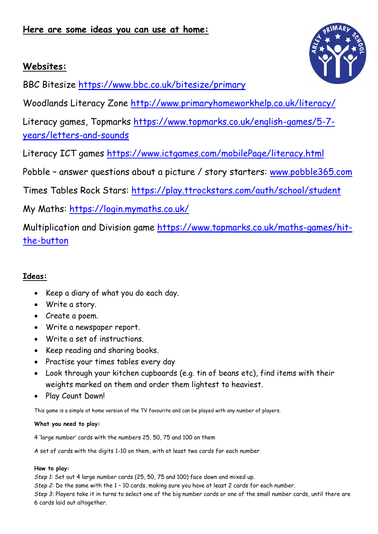# **Websites:**

BBC Bitesize<https://www.bbc.co.uk/bitesize/primary>

Woodlands Literacy Zone<http://www.primaryhomeworkhelp.co.uk/literacy/>

Literacy games, Topmarks [https://www.topmarks.co.uk/english-games/5-7](https://www.topmarks.co.uk/english-games/5-7-years/letters-and-sounds) [years/letters-and-sounds](https://www.topmarks.co.uk/english-games/5-7-years/letters-and-sounds)

Literacy ICT games<https://www.ictgames.com/mobilePage/literacy.html>

Pobble - answer questions about a picture / story starters: [www.pobble365.com](http://www.pobble365.com/)

Times Tables Rock Stars:<https://play.ttrockstars.com/auth/school/student>

My Maths: <https://login.mymaths.co.uk/>

Multiplication and Division game [https://www.topmarks.co.uk/maths-games/hit](https://www.topmarks.co.uk/maths-games/hit-the-button)[the-button](https://www.topmarks.co.uk/maths-games/hit-the-button)

# **Ideas:**

- Keep a diary of what you do each day.
- Write a story.
- Create a poem.
- Write a newspaper report.
- Write a set of instructions.
- Keep reading and sharing books.
- Practise your times tables every day
- Look through your kitchen cupboards (e.g. tin of beans etc), find items with their weights marked on them and order them lightest to heaviest.
- Play Count Down!

This game is a simple at home version of the TV favourite and can be played with any number of players.

## **What you need to play:**

4 'large number' cards with the numbers 25, 50, 75 and 100 on them

A set of cards with the digits 1-10 on them, with at least two cards for each number

## **How to play:**

*Step 1*: Set out 4 large number cards (25, 50, 75 and 100) face down and mixed up.

*Step 2:* Do the same with the 1 – 10 cards, making sure you have at least 2 cards for each number.

*Step 3:* Players take it in turns to select one of the big number cards or one of the small number cards, until there are 6 cards laid out altogether.